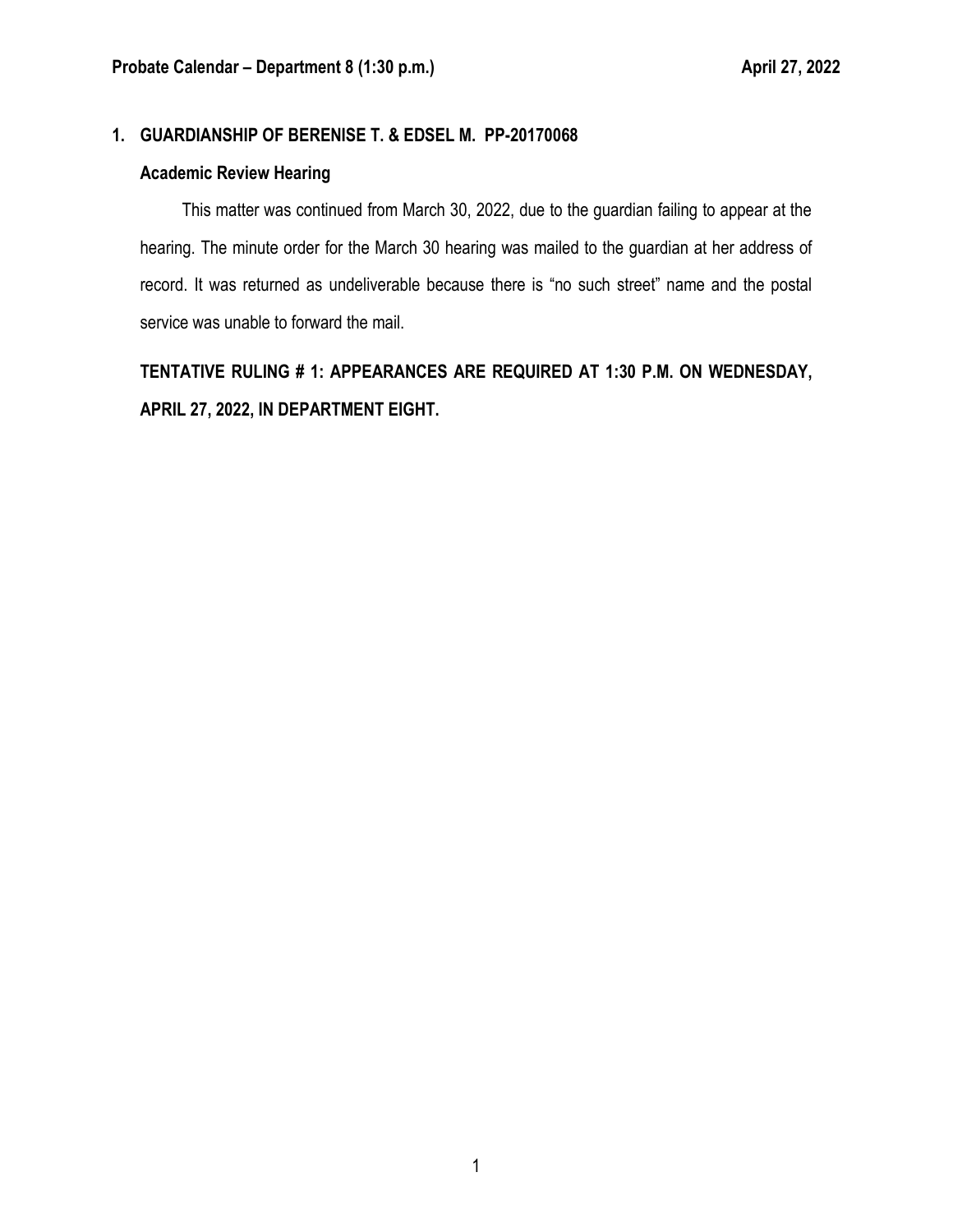## **1. GUARDIANSHIP OF BERENISE T. & EDSEL M. PP-20170068**

#### **Academic Review Hearing**

This matter was continued from March 30, 2022, due to the guardian failing to appear at the hearing. The minute order for the March 30 hearing was mailed to the guardian at her address of record. It was returned as undeliverable because there is "no such street" name and the postal service was unable to forward the mail.

**TENTATIVE RULING # 1: APPEARANCES ARE REQUIRED AT 1:30 P.M. ON WEDNESDAY, APRIL 27, 2022, IN DEPARTMENT EIGHT.**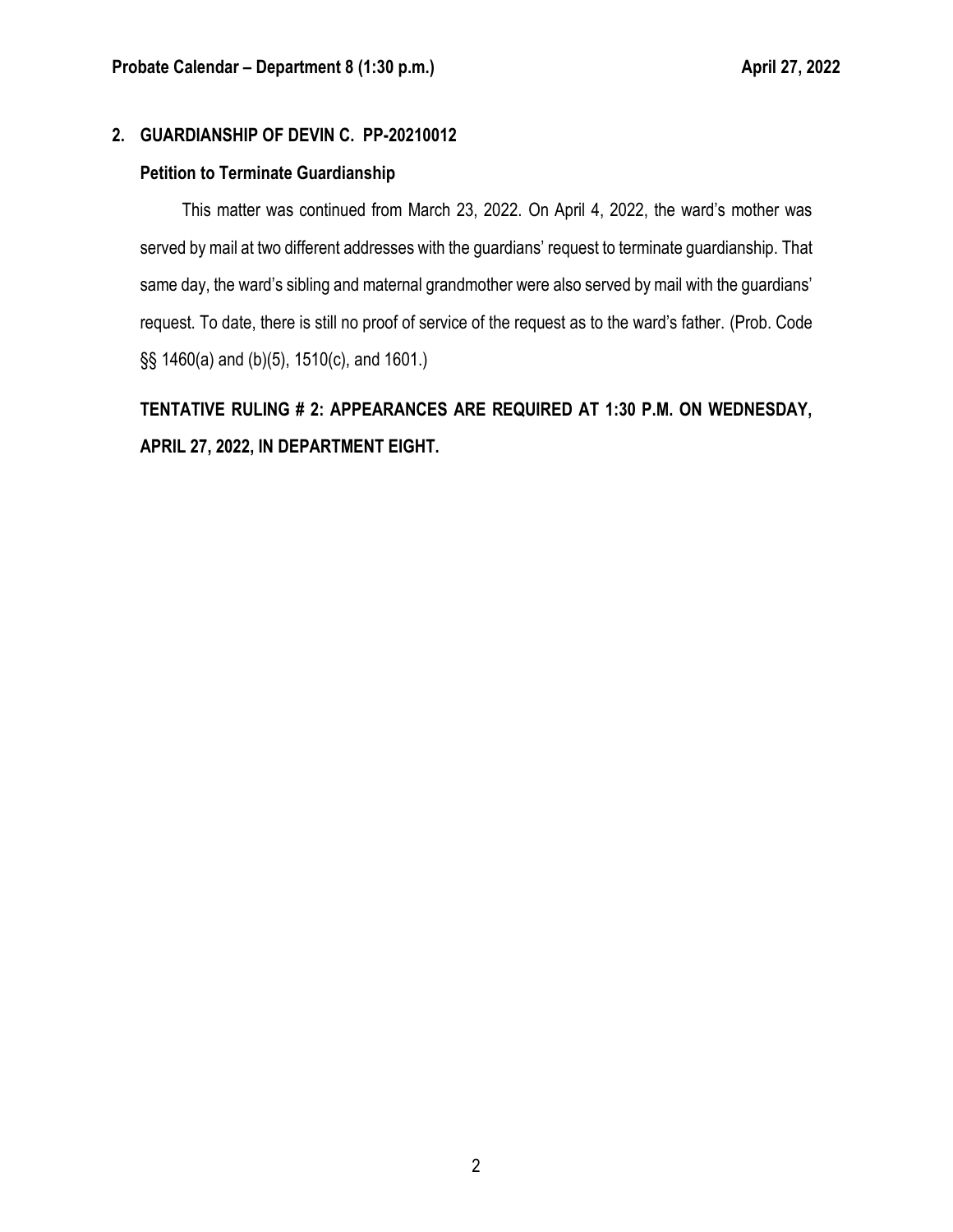# **2. GUARDIANSHIP OF DEVIN C. PP-20210012**

#### **Petition to Terminate Guardianship**

This matter was continued from March 23, 2022. On April 4, 2022, the ward's mother was served by mail at two different addresses with the guardians' request to terminate guardianship. That same day, the ward's sibling and maternal grandmother were also served by mail with the guardians' request. To date, there is still no proof of service of the request as to the ward's father. (Prob. Code §§ 1460(a) and (b)(5), 1510(c), and 1601.)

**TENTATIVE RULING # 2: APPEARANCES ARE REQUIRED AT 1:30 P.M. ON WEDNESDAY, APRIL 27, 2022, IN DEPARTMENT EIGHT.**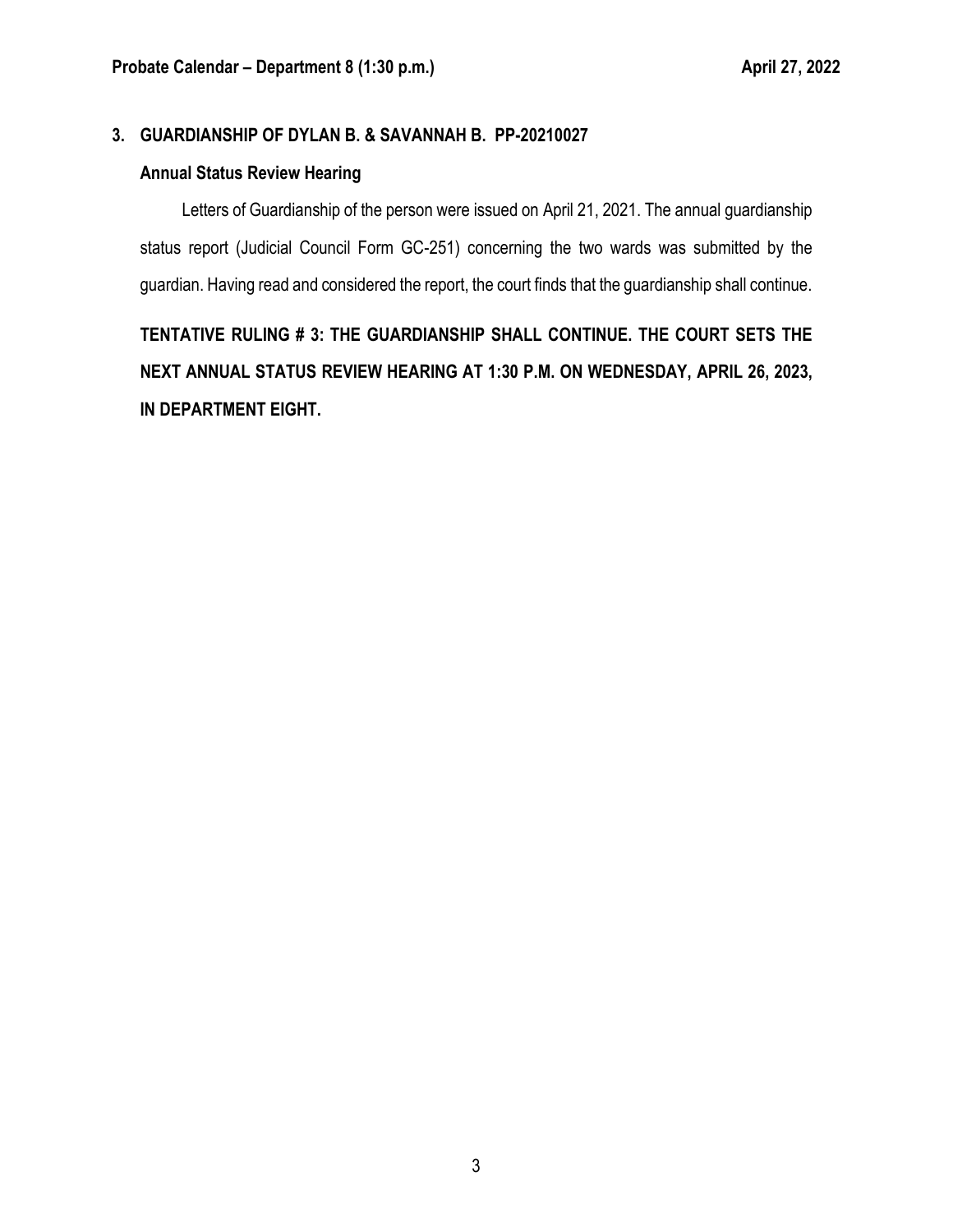## **3. GUARDIANSHIP OF DYLAN B. & SAVANNAH B. PP-20210027**

#### **Annual Status Review Hearing**

Letters of Guardianship of the person were issued on April 21, 2021. The annual guardianship status report (Judicial Council Form GC-251) concerning the two wards was submitted by the guardian. Having read and considered the report, the court finds that the guardianship shall continue.

**TENTATIVE RULING # 3: THE GUARDIANSHIP SHALL CONTINUE. THE COURT SETS THE NEXT ANNUAL STATUS REVIEW HEARING AT 1:30 P.M. ON WEDNESDAY, APRIL 26, 2023, IN DEPARTMENT EIGHT.**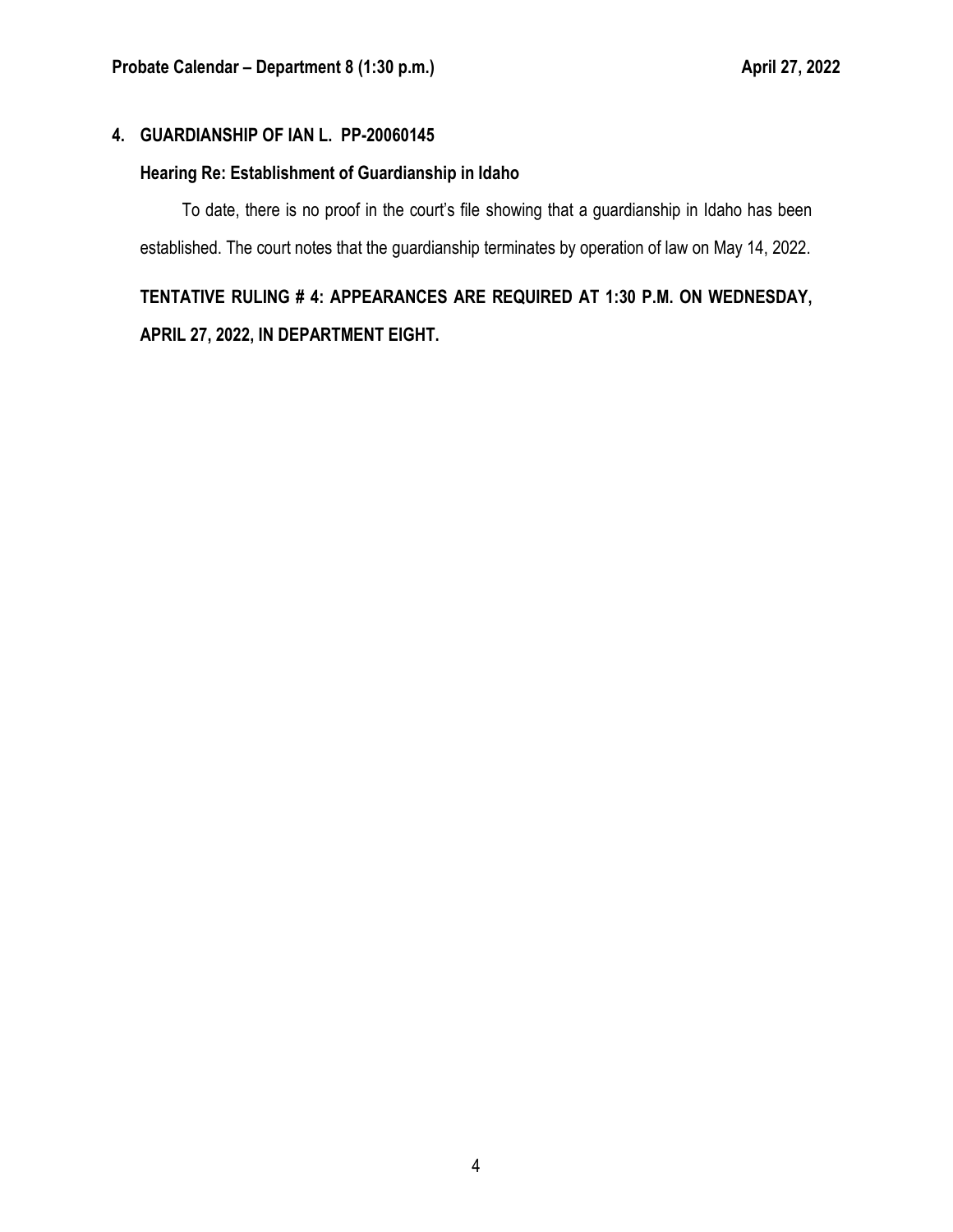# **4. GUARDIANSHIP OF IAN L. PP-20060145**

# **Hearing Re: Establishment of Guardianship in Idaho**

To date, there is no proof in the court's file showing that a guardianship in Idaho has been established. The court notes that the guardianship terminates by operation of law on May 14, 2022.

# **TENTATIVE RULING # 4: APPEARANCES ARE REQUIRED AT 1:30 P.M. ON WEDNESDAY, APRIL 27, 2022, IN DEPARTMENT EIGHT.**